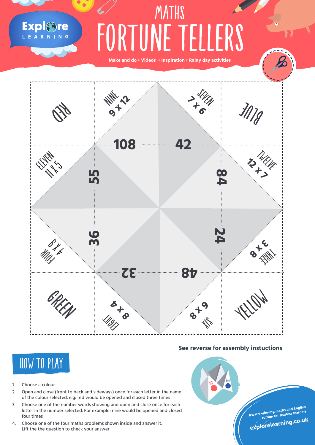## FORTUNE TELLERS **MATHS**

**Make and do • Videos • Inspiration • Rainy day activities**



## **See reverse for assembly instuctions**



Explore

- 1. Choose a colour
- 2. Open and close (front to back and sideways) once for each letter in the name of the colour selected. e.g: red would be opened and closed three times
- 3. Choose one of the number words showing and open and close once for each letter in the number selected. For example: nine would be opened and closed four times
- 4. Choose one of the four maths problems shown inside and answer it. Lift the the question to check your answer



**Award-winning maths and English tuition for fearless learners**

**explorelearning.co.u<sup>k</sup>**